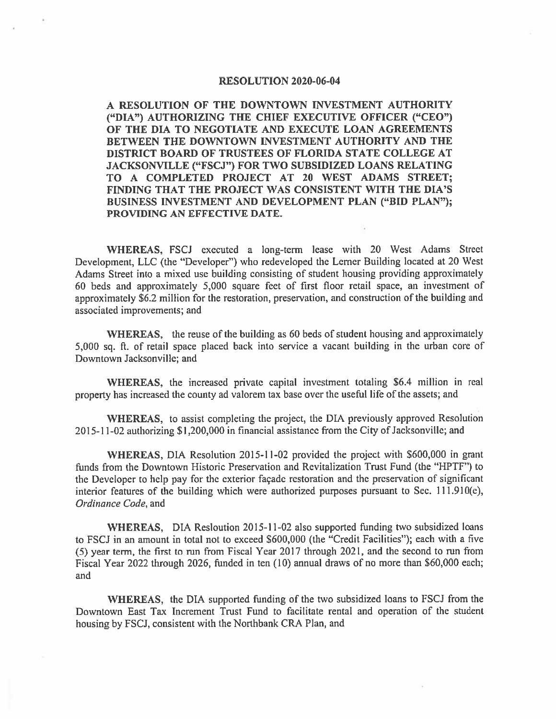## **RESOLUTION 2020-06-04**

A RESOLUTION OF THE DOWNTOWN INVESTMENT AUTHORITY ("DIA") AUTHORIZING THE CHIEF EXECUTIVE OFFICER ("CEO") OF THE DIA TO NEGOTIATE AND EXECUTE LOAN AGREEMENTS BETWEEN THE DOWNTOWN INVESTMENT AUTHORITY AND THE DISTRICT BOARD OF TRUSTEES OF FLORIDA STATE COLLEGE AT JACKSONVILLE ("FSCJ") FOR TWO SUBSIDIZED LOANS RELATING TO A COMPLETED PROJECT AT 20 WEST ADAMS STREET; FINDING THAT THE PROJECT WAS CONSISTENT WITH THE DIA'S BUSINESS INVESTMENT AND DEVELOPMENT PLAN ("BID PLAN"); PROVIDING AN EFFECTIVE DATE.

WHEREAS, FSCJ executed a long-term lease with 20 West Adams Street Development, LLC (the "Developer") who redeveloped the Lerner Building located at 20 West Adams Street into a mixed use building consisting of student housing providing approximately 60 beds and approximately 5,000 square feet of first floor retail space, an investment of approximately \$6.2 million for the restoration, preservation, and construction of the building and associated improvements; and

WHEREAS, the reuse of the building as 60 beds of student housing and approximately 5,000 sq. ft. of retail space placed back into service a vacant building in the urban core of Downtown Jacksonville; and

WHEREAS, the increased private capital investment totaling \$6.4 million in real property has increased the county ad valorem tax base over the useful life of the assets; and

WHEREAS, to assist completing the project, the DIA previously approved Resolution 2015-11-02 authorizing \$1,200,000 in financial assistance from the City of Jacksonville; and

WHEREAS, DIA Resolution 2015-11-02 provided the project with \$600,000 in grant funds from the Downtown Historic Preservation and Revitalization Trust Fund (the "HPTF") to the Developer to help pay for the exterior façade restoration and the preservation of significant interior features of the building which were authorized purposes pursuant to Sec. 111.910(e), Ordinance Code, and

WHEREAS, DIA Resloution 2015-11-02 also supported funding two subsidized loans to FSCJ in an amount in total not to exceed \$600,000 (the "Credit Facilities"); each with a five (5) year term, the first to run from Fiscal Year 2017 through 2021, and the second to run from Fiscal Year 2022 through 2026, funded in ten (10) annual draws of no more than \$60,000 each; and

WHEREAS, the DIA supported funding of the two subsidized loans to FSCJ from the Downtown East Tax Increment Trust Fund to facilitate rental and operation of the student housing by FSCJ, consistent with the Northbank CRA Plan, and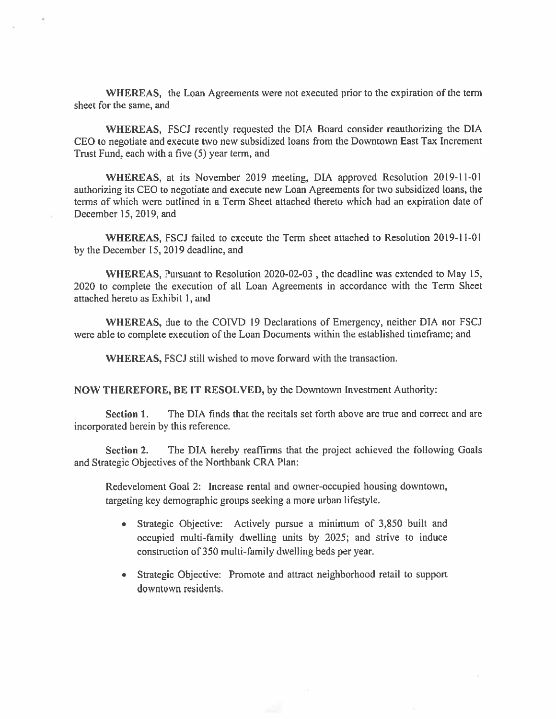WHEREAS, the Loan Agreements were not executed prior to the expiration of the term sheet for the same, and

WHEREAS, FSCJ recently requested the DIA Board consider reauthorizing the DIA CEO to negotiate and execute two new subsidized loans from the Downtown East Tax Increment Trust Fund, each with a five (5) year term, and

WHEREAS, at its November 2019 meeting, DIA approved Resolution 2019-11-01 authorizing its CEO to negotiate and execute new Loan Agreements for two subsidized loans, the terms of which were outlined in a Term Sheet attached thereto which had an expiration date of December 15, 2019, and

WHEREAS, FSCJ failed to execute the Term sheet attached to Resolution 2019-11-01 by the December 15, 2019 deadline, and

WHEREAS, Pursuant to Resolution 2020-02-03, the deadline was extended to May 15, 2020 to complete the execution of all Loan Agreements in accordance with the Term Sheet attached hereto as Exhibit 1, and

WHEREAS, due to the COIVD 19 Declarations of Emergency, neither DIA nor FSCJ were able to complete execution of the Loan Documents within the established timeframe; and

WHEREAS, FSCJ still wished to move forward with the transaction.

NOW THEREFORE, BE IT RESOLVED, by the Downtown Investment Authority:

Section 1. The DIA finds that the recitals set forth above are true and correct and are incorporated herein by this reference.

The DIA hereby reaffirms that the project achieved the following Goals Section 2. and Strategic Objectives of the Northbank CRA Plan:

Redeveloment Goal 2: Increase rental and owner-occupied housing downtown, targeting key demographic groups seeking a more urban lifestyle.

- Strategic Objective: Actively pursue a minimum of 3,850 built and occupied multi-family dwelling units by 2025; and strive to induce construction of 350 multi-family dwelling beds per year.
- Strategic Objective: Promote and attract neighborhood retail to support downtown residents.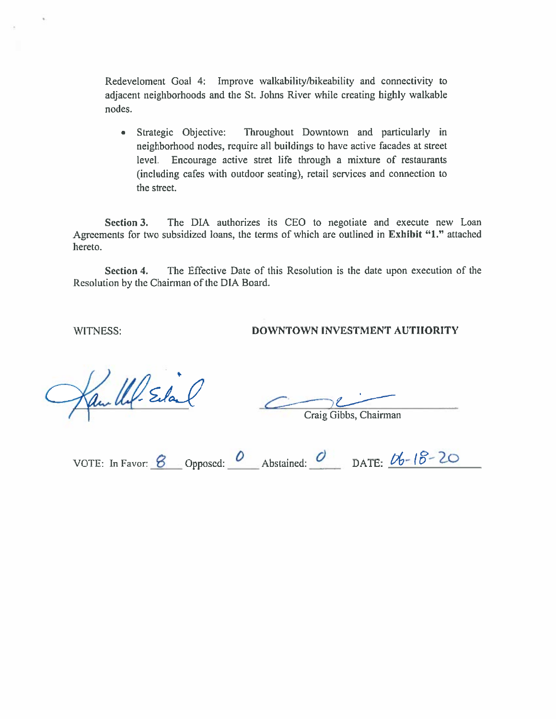Redeveloment Goal 4: Improve walkability/bikeability and connectivity to adjacent neighborhoods and the St. Johns River while creating highly walkable nodes.

• Strategic Objective: Throughout Downtown and particularly in neighborhood nodes, require all buildings to have active facades at street level. Encourage active stret life through a mixture of restaurants (including cafes with outdoor seating), retail services and connection to the street.

The DIA authorizes its CEO to negotiate and execute new Loan Section 3. Agreements for two subsidized loans, the terms of which are outlined in Exhibit "1." attached hereto.

Section 4. The Effective Date of this Resolution is the date upon execution of the Resolution by the Chairman of the DIA Board.

**WITNESS:** 

DOWNTOWN INVESTMENT AUTHORITY

Ulf-Eda

Craig Gibbs, Chairman

VOTE: In Favor:  $\frac{8}{9}$  Opposed: 0 Abstained: 0 DATE:  $\frac{06-18-20}{16}$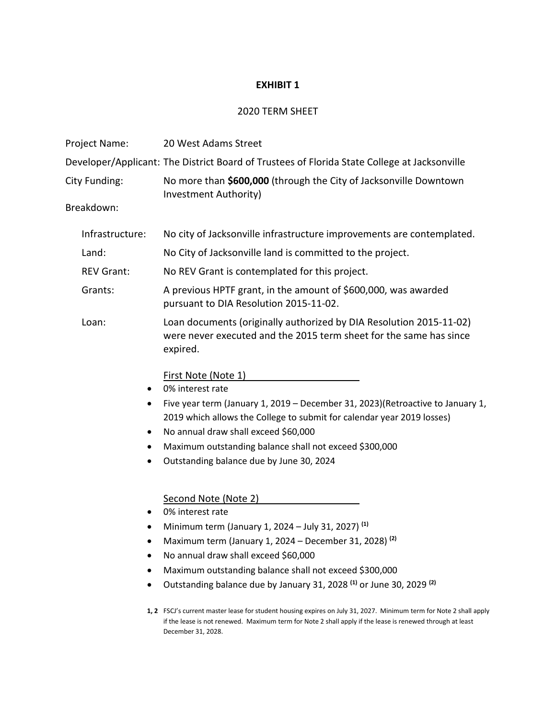## **EXHIBIT 1**

## 2020 TERM SHEET

| Project Name:     | 20 West Adams Street                                                                                                                                                                                                                                                                                                                                                                                                                                                                                                                                                                                                                    |
|-------------------|-----------------------------------------------------------------------------------------------------------------------------------------------------------------------------------------------------------------------------------------------------------------------------------------------------------------------------------------------------------------------------------------------------------------------------------------------------------------------------------------------------------------------------------------------------------------------------------------------------------------------------------------|
|                   | Developer/Applicant: The District Board of Trustees of Florida State College at Jacksonville                                                                                                                                                                                                                                                                                                                                                                                                                                                                                                                                            |
| City Funding:     | No more than \$600,000 (through the City of Jacksonville Downtown<br>Investment Authority)                                                                                                                                                                                                                                                                                                                                                                                                                                                                                                                                              |
| Breakdown:        |                                                                                                                                                                                                                                                                                                                                                                                                                                                                                                                                                                                                                                         |
| Infrastructure:   | No city of Jacksonville infrastructure improvements are contemplated.                                                                                                                                                                                                                                                                                                                                                                                                                                                                                                                                                                   |
| Land:             | No City of Jacksonville land is committed to the project.                                                                                                                                                                                                                                                                                                                                                                                                                                                                                                                                                                               |
| <b>REV Grant:</b> | No REV Grant is contemplated for this project.                                                                                                                                                                                                                                                                                                                                                                                                                                                                                                                                                                                          |
| Grants:           | A previous HPTF grant, in the amount of \$600,000, was awarded<br>pursuant to DIA Resolution 2015-11-02.                                                                                                                                                                                                                                                                                                                                                                                                                                                                                                                                |
| Loan:             | Loan documents (originally authorized by DIA Resolution 2015-11-02)<br>were never executed and the 2015 term sheet for the same has since<br>expired.                                                                                                                                                                                                                                                                                                                                                                                                                                                                                   |
| ٠<br>٠<br>٠       | <b>First Note (Note 1)</b><br>0% interest rate<br>Five year term (January 1, 2019 – December 31, 2023) (Retroactive to January 1,<br>2019 which allows the College to submit for calendar year 2019 losses)<br>No annual draw shall exceed \$60,000<br>Maximum outstanding balance shall not exceed \$300,000<br>Outstanding balance due by June 30, 2024                                                                                                                                                                                                                                                                               |
| ٠<br>٠            | Second Note (Note 2)<br>0% interest rate<br>Minimum term (January 1, 2024 – July 31, 2027) <sup>(1)</sup><br>Maximum term (January 1, 2024 - December 31, 2028) <sup>(2)</sup><br>No annual draw shall exceed \$60,000<br>Maximum outstanding balance shall not exceed \$300,000<br>Outstanding balance due by January 31, 2028 <sup>(1)</sup> or June 30, 2029 <sup>(2)</sup><br>1, 2 FSCJ's current master lease for student housing expires on July 31, 2027. Minimum term for Note 2 shall apply<br>if the lease is not renewed. Maximum term for Note 2 shall apply if the lease is renewed through at least<br>December 31, 2028. |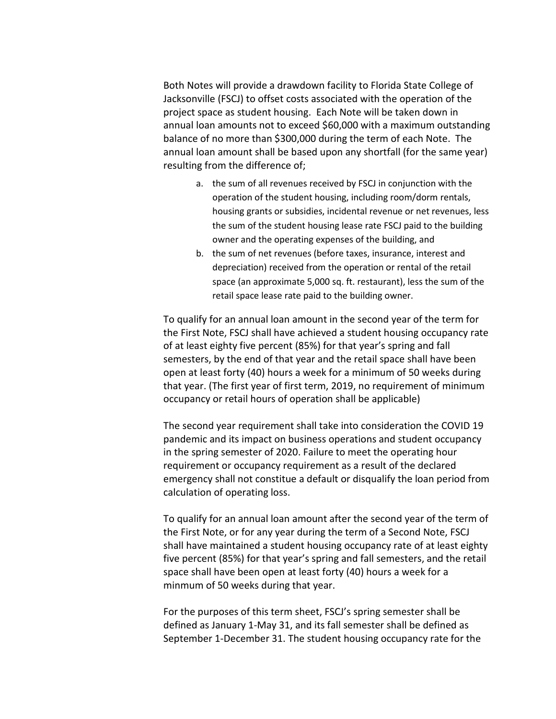Both Notes will provide a drawdown facility to Florida State College of Jacksonville (FSCJ) to offset costs associated with the operation of the project space as student housing. Each Note will be taken down in annual loan amounts not to exceed \$60,000 with a maximum outstanding balance of no more than \$300,000 during the term of each Note. The annual loan amount shall be based upon any shortfall (for the same year) resulting from the difference of;

- a. the sum of all revenues received by FSCJ in conjunction with the operation of the student housing, including room/dorm rentals, housing grants or subsidies, incidental revenue or net revenues, less the sum of the student housing lease rate FSCJ paid to the building owner and the operating expenses of the building, and
- b. the sum of net revenues (before taxes, insurance, interest and depreciation) received from the operation or rental of the retail space (an approximate 5,000 sq. ft. restaurant), less the sum of the retail space lease rate paid to the building owner.

To qualify for an annual loan amount in the second year of the term for the First Note, FSCJ shall have achieved a student housing occupancy rate of at least eighty five percent (85%) for that year's spring and fall semesters, by the end of that year and the retail space shall have been open at least forty (40) hours a week for a minimum of 50 weeks during that year. (The first year of first term, 2019, no requirement of minimum occupancy or retail hours of operation shall be applicable)

The second year requirement shall take into consideration the COVID 19 pandemic and its impact on business operations and student occupancy in the spring semester of 2020. Failure to meet the operating hour requirement or occupancy requirement as a result of the declared emergency shall not constitue a default or disqualify the loan period from calculation of operating loss.

To qualify for an annual loan amount after the second year of the term of the First Note, or for any year during the term of a Second Note, FSCJ shall have maintained a student housing occupancy rate of at least eighty five percent (85%) for that year's spring and fall semesters, and the retail space shall have been open at least forty (40) hours a week for a minmum of 50 weeks during that year.

For the purposes of this term sheet, FSCJ's spring semester shall be defined as January 1-May 31, and its fall semester shall be defined as September 1-December 31. The student housing occupancy rate for the